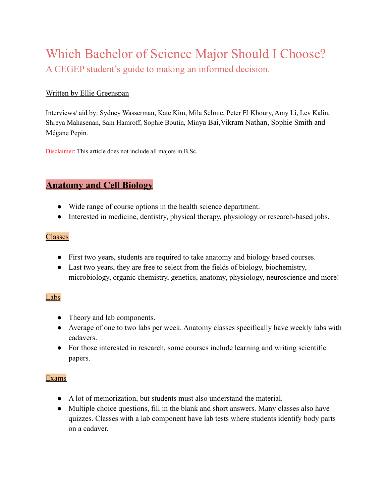# Which Bachelor of Science Major Should I Choose? A CEGEP student's guide to making an informed decision.

#### Written by Ellie Greenspan

Interviews/ aid by: Sydney Wasserman, Kate Kim, Mila Selmic, Peter El Khoury, Amy Li, Lev Kalin, Shreya Mahasenan, Sam Hamroff, Sophie Boutin, Minya Bai,Vikram Nathan, Sophie Smith and Mégane Pepin.

Disclaimer: This article does not include all majors in B.Sc.

# **Anatomy and Cell Biology**

- Wide range of course options in the health science department.
- Interested in medicine, dentistry, physical therapy, physiology or research-based jobs.

#### Classes

- First two years, students are required to take anatomy and biology based courses.
- Last two years, they are free to select from the fields of biology, biochemistry, microbiology, organic chemistry, genetics, anatomy, physiology, neuroscience and more!

#### Labs

- Theory and lab components.
- Average of one to two labs per week. Anatomy classes specifically have weekly labs with cadavers.
- For those interested in research, some courses include learning and writing scientific papers.

#### Exams

- A lot of memorization, but students must also understand the material.
- Multiple choice questions, fill in the blank and short answers. Many classes also have quizzes. Classes with a lab component have lab tests where students identify body parts on a cadaver.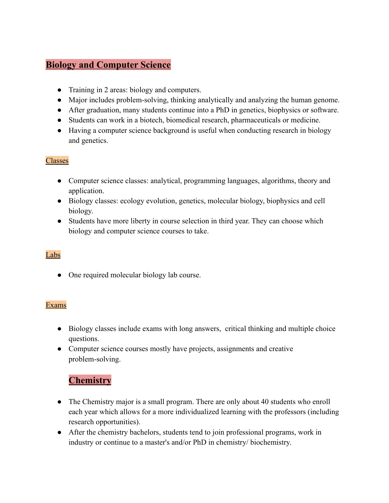# **Biology and Computer Science**

- Training in 2 areas: biology and computers.
- Major includes problem-solving, thinking analytically and analyzing the human genome.
- After graduation, many students continue into a PhD in genetics, biophysics or software.
- Students can work in a biotech, biomedical research, pharmaceuticals or medicine.
- Having a computer science background is useful when conducting research in biology and genetics.

#### Classes

- Computer science classes: analytical, programming languages, algorithms, theory and application.
- Biology classes: ecology evolution, genetics, molecular biology, biophysics and cell biology.
- Students have more liberty in course selection in third year. They can choose which biology and computer science courses to take.

#### Labs

• One required molecular biology lab course.

#### Exams

- **●** Biology classes include exams with long answers, critical thinking and multiple choice questions.
- Computer science courses mostly have projects, assignments and creative problem-solving.

# **Chemistry**

- The Chemistry major is a small program. There are only about 40 students who enroll each year which allows for a more individualized learning with the professors (including research opportunities).
- After the chemistry bachelors, students tend to join professional programs, work in industry or continue to a master's and/or PhD in chemistry/ biochemistry.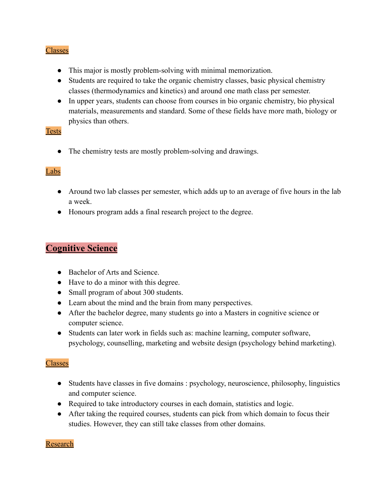#### Classes

- This major is mostly problem-solving with minimal memorization.
- Students are required to take the organic chemistry classes, basic physical chemistry classes (thermodynamics and kinetics) and around one math class per semester.
- In upper years, students can choose from courses in bio organic chemistry, bio physical materials, measurements and standard. Some of these fields have more math, biology or physics than others.

#### Tests

• The chemistry tests are mostly problem-solving and drawings.

#### Labs

- Around two lab classes per semester, which adds up to an average of five hours in the lab a week.
- Honours program adds a final research project to the degree.

# **Cognitive Science**

- Bachelor of Arts and Science.
- Have to do a minor with this degree.
- Small program of about 300 students.
- Learn about the mind and the brain from many perspectives.
- After the bachelor degree, many students go into a Masters in cognitive science or computer science.
- Students can later work in fields such as: machine learning, computer software, psychology, counselling, marketing and website design (psychology behind marketing).

#### **Classes**

- Students have classes in five domains : psychology, neuroscience, philosophy, linguistics and computer science.
- Required to take introductory courses in each domain, statistics and logic.
- After taking the required courses, students can pick from which domain to focus their studies. However, they can still take classes from other domains.

#### Research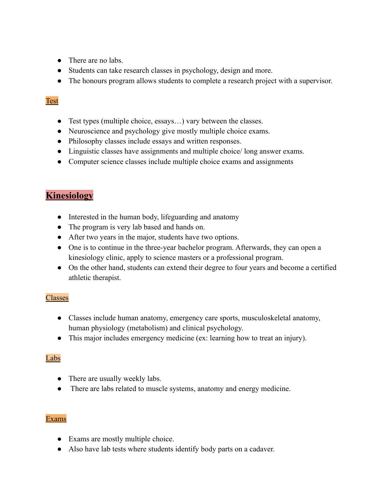- There are no labs.
- Students can take research classes in psychology, design and more.
- The honours program allows students to complete a research project with a supervisor.

#### Test

- Test types (multiple choice, essays…) vary between the classes.
- Neuroscience and psychology give mostly multiple choice exams.
- Philosophy classes include essays and written responses.
- Linguistic classes have assignments and multiple choice/ long answer exams.
- Computer science classes include multiple choice exams and assignments

### **Kinesiology**

- Interested in the human body, lifeguarding and anatomy
- The program is very lab based and hands on.
- After two years in the major, students have two options.
- One is to continue in the three-year bachelor program. Afterwards, they can open a kinesiology clinic, apply to science masters or a professional program.
- On the other hand, students can extend their degree to four years and become a certified athletic therapist.

#### Classes

- Classes include human anatomy, emergency care sports, musculoskeletal anatomy, human physiology (metabolism) and clinical psychology.
- This major includes emergency medicine (ex: learning how to treat an injury).

#### Labs

- There are usually weekly labs.
- There are labs related to muscle systems, anatomy and energy medicine.

#### Exams

- Exams are mostly multiple choice.
- Also have lab tests where students identify body parts on a cadaver.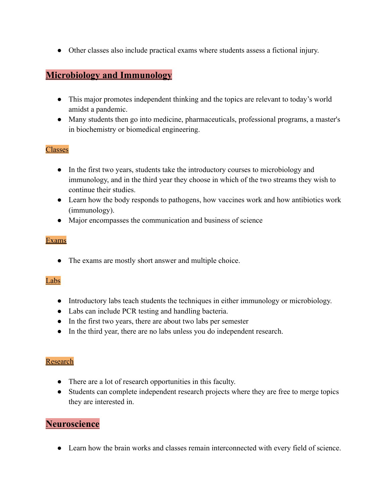● Other classes also include practical exams where students assess a fictional injury.

### **Microbiology and Immunology**

- This major promotes independent thinking and the topics are relevant to today's world amidst a pandemic.
- Many students then go into medicine, pharmaceuticals, professional programs, a master's in biochemistry or biomedical engineering.

#### Classes

- In the first two years, students take the introductory courses to microbiology and immunology, and in the third year they choose in which of the two streams they wish to continue their studies.
- Learn how the body responds to pathogens, how vaccines work and how antibiotics work (immunology).
- Major encompasses the communication and business of science

#### Exams

• The exams are mostly short answer and multiple choice.

#### Labs

- Introductory labs teach students the techniques in either immunology or microbiology.
- Labs can include PCR testing and handling bacteria.
- In the first two years, there are about two labs per semester
- In the third year, there are no labs unless you do independent research.

#### Research

- There are a lot of research opportunities in this faculty.
- Students can complete independent research projects where they are free to merge topics they are interested in.

### **Neuroscience**

● Learn how the brain works and classes remain interconnected with every field of science.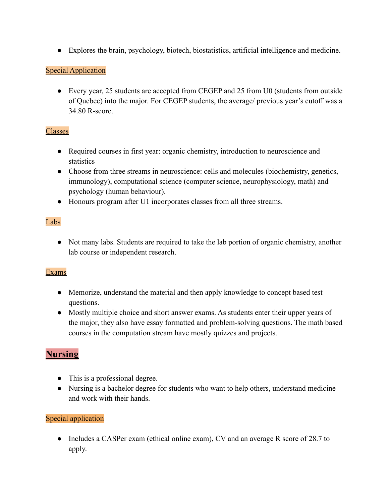● Explores the brain, psychology, biotech, biostatistics, artificial intelligence and medicine.

#### Special Application

• Every year, 25 students are accepted from CEGEP and 25 from U0 (students from outside of Quebec) into the major. For CEGEP students, the average/ previous year's cutoff was a 34.80 R-score.

#### Classes

- Required courses in first year: organic chemistry, introduction to neuroscience and statistics
- Choose from three streams in neuroscience: cells and molecules (biochemistry, genetics, immunology), computational science (computer science, neurophysiology, math) and psychology (human behaviour).
- Honours program after U1 incorporates classes from all three streams.

#### Labs

• Not many labs. Students are required to take the lab portion of organic chemistry, another lab course or independent research.

#### **Exams**

- Memorize, understand the material and then apply knowledge to concept based test questions.
- Mostly multiple choice and short answer exams. As students enter their upper years of the major, they also have essay formatted and problem-solving questions. The math based courses in the computation stream have mostly quizzes and projects.

# **Nursing**

- This is a professional degree.
- Nursing is a bachelor degree for students who want to help others, understand medicine and work with their hands.

#### Special application

• Includes a CASPer exam (ethical online exam), CV and an average R score of 28.7 to apply.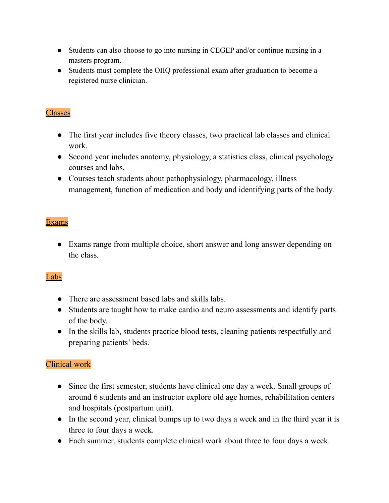- Students can also choose to go into nursing in CEGEP and/or continue nursing in a masters program.
- Students must complete the OIIQ professional exam after graduation to become a registered nurse clinician.

### Classes

- The first year includes five theory classes, two practical lab classes and clinical work.
- Second year includes anatomy, physiology, a statistics class, clinical psychology courses and labs.
- Courses teach students about pathophysiology, pharmacology, illness management, function of medication and body and identifying parts of the body.

#### Exams

• Exams range from multiple choice, short answer and long answer depending on the class.

# Labs

- There are assessment based labs and skills labs.
- Students are taught how to make cardio and neuro assessments and identify parts of the body.
- In the skills lab, students practice blood tests, cleaning patients respectfully and preparing patients' beds.

### Clinical work

- Since the first semester, students have clinical one day a week. Small groups of around 6 students and an instructor explore old age homes, rehabilitation centers and hospitals (postpartum unit).
- In the second year, clinical bumps up to two days a week and in the third year it is three to four days a week.
- Each summer, students complete clinical work about three to four days a week.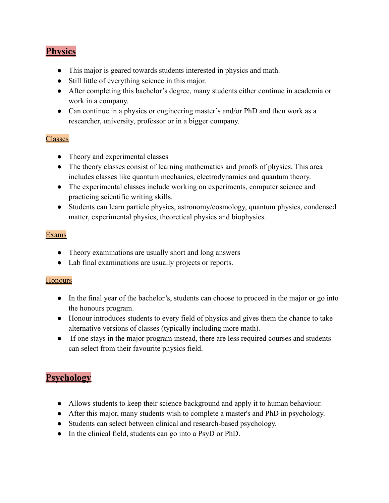# **Physics**

- This major is geared towards students interested in physics and math.
- Still little of everything science in this major.
- After completing this bachelor's degree, many students either continue in academia or work in a company.
- Can continue in a physics or engineering master's and/or PhD and then work as a researcher, university, professor or in a bigger company.

#### Classes

- Theory and experimental classes
- The theory classes consist of learning mathematics and proofs of physics. This area includes classes like quantum mechanics, electrodynamics and quantum theory.
- The experimental classes include working on experiments, computer science and practicing scientific writing skills.
- Students can learn particle physics, astronomy/cosmology, quantum physics, condensed matter, experimental physics, theoretical physics and biophysics.

#### Exams

- Theory examinations are usually short and long answers
- Lab final examinations are usually projects or reports.

#### **Honours**

- In the final year of the bachelor's, students can choose to proceed in the major or go into the honours program.
- Honour introduces students to every field of physics and gives them the chance to take alternative versions of classes (typically including more math).
- If one stays in the major program instead, there are less required courses and students can select from their favourite physics field.

# **Psychology**

- Allows students to keep their science background and apply it to human behaviour.
- After this major, many students wish to complete a master's and PhD in psychology.
- Students can select between clinical and research-based psychology.
- In the clinical field, students can go into a PsyD or PhD.